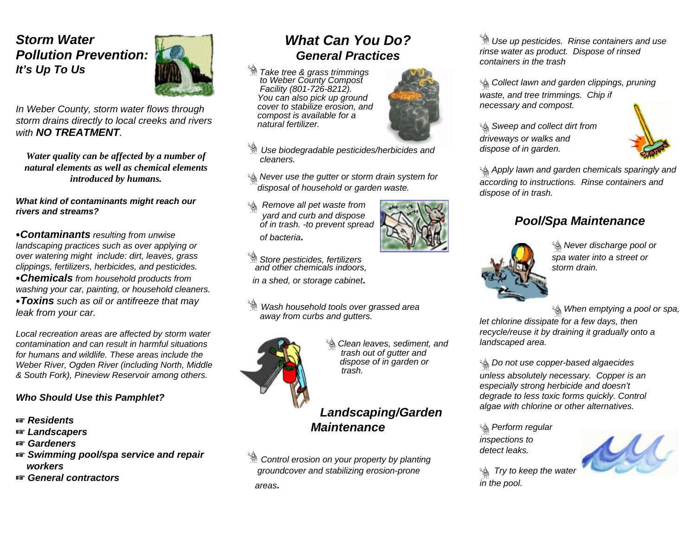#### *Storm WaterPollution Prevention:It's Up To Us*



*In Weber County, storm water flows through storm drains directly to local creeks and rivers with NO TREATMENT.* 

*Water quality can be affected by a number of natural elements as well as chemical elementsintroduced by humans.*

*What kind of contaminants might reach our rivers and streams?*

<sup>C</sup>*Contaminants resulting from unwise landscaping practices such as over applying or over watering might include: dirt, leaves, grass clippings, fertilizers, herbicides, and pesticides.*

<sup>C</sup>*Chemicals from household products from washing your car, painting, or household cleaners.*

<sup>C</sup>*Toxins such as oil or antifreeze that may leak from your car.*

*Local recreation areas are affected by storm water contamination and can result in harmful situationsfor humans and wildlife. These areas include theWeber River, Ogden River (including North, Middle & South Fork), Pineview Reservoir among others.*

*Who Should Use this Pamphlet?*

- L *Residents*
- <sup>L</sup> *Landscapers*
- L *Gardeners*
- **Example 3 Swimming pool/spa service and repair**  *workers*
- L *General contractors*

### *What Can You Do?General Practices*

 *Take tree & grass trimmings to Weber County Compost Facility (801-726-8212). You can also pick up ground cover to stabilize erosion, and compost is available for a natural fertilizer.* 



*Use biodegradable pesticides/herbicides and cleaners.*

- *Never use the gutter or storm drain system for disposal of household or garden waste.*
- *Remove all pet waste from yard and curb and dispose of in trash. -to prevent spread of bacteria.*

 *Store pesticides, fertilizers and other chemicals indoors,* 

 *in a shed, or storage cabinet.*

*Wash household tools over grassed area away from curbs and gutters.*



 *Clean leaves, sediment, and trash out of gutter and dispose of in garden or trash.* 

#### *Landscaping/Garden Maintenance*

*Control erosion on your property by planting groundcover and stabilizing erosion-prone areas.*

 *Use up pesticides. Rinse containers and use rinse water as product. Dispose of rinsed containers in the trash*

 *Collect lawn and garden clippings, pruning waste, and tree trimmings. Chip if necessary and compost.*

 *Sweep and collect dirt from driveways or walks and dispose of in garden.*



 *Apply lawn and garden chemicals sparingly and according to instructions. Rinse containers and dispose of in trash.*

#### *Pool/Spa Maintenance*



 *Never discharge pool or spa water into a street or storm drain.*

 *When emptying a pool or spa,*

*let chlorine dissipate for a few days, then recycle/reuse it by draining it gradually onto a landscaped area.*

 *Do not use copper-based algaecides* 

*unless absolutely necessary. Copper is an especially strong herbicide and doesn't degrade to less toxic forms quickly. Control algae with chlorine or other alternatives.* 

 *Perform regular inspections to detect leaks.* 



*A Try to keep the water in the pool.*